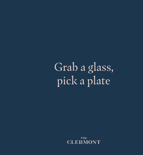Grab a glass, pick a plate

> **THE CLERMONT**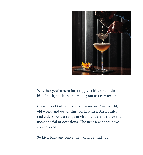

Whether you're here for a tipple, a bite or a little bit of both, settle in and make yourself comfortable.

Classic cocktails and signature serves. New world, old world and out of this world wines. Ales, crafts and ciders. And a range of virgin cocktails fit for the most special of occasions. The next few pages have you covered.

So kick back and leave the world behind you.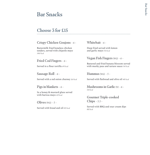## Bar Snacks

## Choose 3 for £15

#### Crispy Chicken Goujons *- 6 -*

Buttermilk fried boneless chicken tenders, served with chipotle mayo *1065 kcal*

#### Fried Cod Fingers *- 6 -*

Served in a flour tortilla *695 kcal*

#### Sausage Roll *- 6 -*

Served with a red onion chutney *263 kcal*

#### Pigs in blankets *- 6 -*

In a honey & mustard glaze served with harissa mayo *429 kcal*

#### Olives (VG) *- 5 -*

Served with bread and oil *835 kcal*

Whitebait *- 6 -*

Deep fried served with lemon and garlic mayo *552 kcal*

Vegan Fish Fingers (VG) *- 6 -*

Battered and fried banana blossom served with mushy peas and tartare sauce *545 kcal*

Hummus (VG) *- 5 -*

Served with flatbread and olive oil *485 kcal*

Mushrooms in Garlic (V) *- 6 - 324 kcal*

Gourmet Triple-cooked Chips *- 5.5 -*

Served with BBQ and sour cream dips *882 kcal*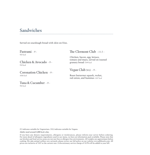### Sandwiches

Served on sourdough bread with skin-on fries.

Pastrami *- 9 - 925 kcal*

Chicken & Avocado *- 9 - 910 kcal*

Coronation Chicken *- 9 - 1036 kcal*

Tuna & Cucumber *- 9 - 944 kcal*

#### The Clermont Club *- 11.5 -*

Chicken, bacon, egg, lettuce, tomato and mayo, served on toasted granary bread *1549 kcal*

Vegan Club (VG) *- 9 -*

Roast butternut squash, rocket, red onion, and hummus *1247 kcal*

(V) indicates suitable for Vegetarians. (VG) indicates suitable for Vegans.

Adults need around 2,000 kcal a day.

If you have any dietary requirements, allergens or intolerances, please inform your server before ordering. For more detail of allergenic ingredients used in our menu, we have an information pack available. Please note that our kitchen and food service areas are not nut-free or allergen-free environments. All weights are approximate before cooking. We take animal welfare very seriously, please review our full policy on our website www.glhhotels.com. All prices are inclusive of VAT at the current rate. A discretionary service charge of 12.5% will be added to your bill.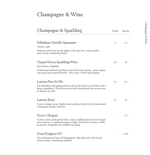# Champagne & Wine

| Champagne & Sparkling                                                                                                                                                                        | 125ml         | <b>Bottle</b> |
|----------------------------------------------------------------------------------------------------------------------------------------------------------------------------------------------|---------------|---------------|
|                                                                                                                                                                                              |               |               |
| Palladiano Durello Spumante                                                                                                                                                                  |               | $-9 - -41$    |
| Veneto, Italy                                                                                                                                                                                |               |               |
| Delicate and lively on the palate with ripe fruit, zesty acidity<br>and a clean, refreshing finish.                                                                                          |               |               |
| Chapel Down Sparkling Wine                                                                                                                                                                   | $-10 - -43 -$ |               |
| East Sussex, England                                                                                                                                                                         |               |               |
| Traditional method sparkling wine from East Sussex - green apple,<br>ripe pear and toasted brioche - this wine is fresh and elegant.                                                         |               |               |
| Lanson Père Et Fils                                                                                                                                                                          | $-14 - 65 -$  |               |
| The blending and ageing process gives the wines a rich body and a<br>deep complexity. The flavours are well-develop and the aromas are<br>as elegant as rich.                                |               |               |
| Lanson Rosé                                                                                                                                                                                  | $-15 - -70$   |               |
| A non-vintage cuvée. Made from a delicate blend of the three main<br>Champagne grape varieties.                                                                                              |               |               |
| <b>Veuve Clicquot</b>                                                                                                                                                                        |               | $-75-$        |
| At first, fresh, delicate & saline. Juicy candied apricots and toasted<br>notes lead to a complex bouquet of figs, dried fruits, honey, truffle<br>& mocha, alongside soft vanilla & nutmeg. |               |               |
| Dom Pérignon NV                                                                                                                                                                              |               | $-190-$       |
| The undisputed King of Champagnes. Big and rich, with lovely<br>Pinot aromas. Absolutely sublime.                                                                                            |               |               |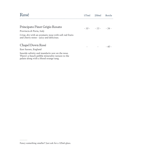| Principato Pinot Grigio Rosato<br>Provincia di Pavia, Italy<br>Crisp, dry with an aromatic nose with soft red fruits<br>and cherry notes - juicy and delicious. | $-10 - -13 - -34$ |  |
|-----------------------------------------------------------------------------------------------------------------------------------------------------------------|-------------------|--|
| Chapel Down Rosé<br>East Sussex, England                                                                                                                        | $-40-$            |  |

Seaside salinity and mandarin zest on the nose. There's a beach pebble minerality texture to the palate along with a blood orange tang.

. . . . . . . . . . . . . .

Fancy something smaller? Just ask for a 125ml glass.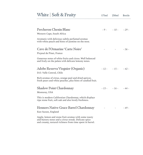|                      | White   Soft & Fruity                                                                                                                                                     | 175ml |                    | 250ml Bottle |
|----------------------|---------------------------------------------------------------------------------------------------------------------------------------------------------------------------|-------|--------------------|--------------|
|                      |                                                                                                                                                                           |       |                    |              |
|                      | Percheron Chenin Blanc                                                                                                                                                    |       | $-9 - 10 - 29 -$   |              |
|                      | Western Cape, South Africa                                                                                                                                                |       |                    |              |
|                      | Aromatic with delicious subtle perfumed aromas<br>with white peach and hints of jasmine on the nose.                                                                      |       |                    |              |
|                      | Cave de l'Ormarine 'Carte Noire'                                                                                                                                          |       |                    | $-36$        |
|                      | Picpoul de Pinet, France                                                                                                                                                  |       |                    |              |
|                      | Generous notes of white fruits and citrus. Well balanced<br>and lively on the palate with delicate lemony notes.                                                          |       |                    |              |
|                      | Adobe Reserva Viognier (Organic)                                                                                                                                          |       | $-12 - 15 - 142 -$ |              |
|                      | D.O. Valle Central, Chile                                                                                                                                                 |       |                    |              |
|                      | Rich aromas of citrus, orange peel and dried apricot,<br>fresh pears and white peaches, plus hints of candied fruit.                                                      |       |                    |              |
|                      | <b>Shadow Point Chardonnay</b>                                                                                                                                            |       | $-13 - 16 - -44$   |              |
| Monterey, USA        |                                                                                                                                                                           |       |                    |              |
|                      | This is modern Californian Chardonnay, which displays<br>ripe stone fruit, soft oak and also lovely freshness.                                                            |       |                    |              |
|                      | Henners Native Grace Barrel Chardonnay                                                                                                                                    |       |                    | $-49-$       |
| East Sussex, England |                                                                                                                                                                           |       |                    |              |
|                      | Apple, lemon and stone fruit aromas with some toasty<br>and buttery notes and a citrus streak. Delicate spice<br>and creamy, textural richness from time spent in barrel. |       |                    |              |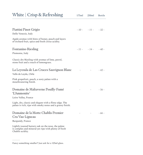| White   Crisp & Refreshing                                                                                                      | 175ml | 250ml               | <b>Bottle</b> |
|---------------------------------------------------------------------------------------------------------------------------------|-------|---------------------|---------------|
|                                                                                                                                 |       |                     |               |
| Piattini Pinot Grigio                                                                                                           |       | $-10 - 11 - -32 -$  |               |
| Delle Venezie, Italy                                                                                                            |       |                     |               |
| Apple aromas with hints of honey, peach and layers<br>of orchard fruit, spice and fresh citrus acidity.                         |       |                     |               |
| <b>Fontanino Riesling</b>                                                                                                       |       | $-11 - -14 - -40 -$ |               |
| Piemonte, Italy                                                                                                                 |       |                     |               |
| Classic dry Riesling with aromas of lime, petrol,<br>stone fruit and a touch of lemongrass.                                     |       |                     |               |
| La Leyenda de Las Cruces Sauvignon Blanc                                                                                        |       |                     | $-42-$        |
| Valle de Leyda, Chile                                                                                                           |       |                     |               |
| Pink grapefruit, peach, a zesty palate with a<br>mouthwatering finish.                                                          |       |                     |               |
| Domaine de Maltaverne Pouilly-Fumé<br>'L'Ammonite'                                                                              |       |                     | $-56-$        |
| Loire Valley, France                                                                                                            |       |                     |               |
| Light, dry, classic and elegant with a flinty edge. The<br>palate is rich, ripe with smoky notes and a grassy finish.           |       |                     |               |
| Domaine de la Motte Chablis Premier<br>Cru Vau-Ligneau                                                                          |       |                     | - 66 -        |
| Burgundy, France                                                                                                                |       |                     |               |
| Lightly toasted buttery oak on the nose, the palate<br>is complex and mineral yet ripe with plenty of fresh<br>Chablis acidity. |       |                     |               |
| .                                                                                                                               |       |                     |               |

Fancy something smaller? Just ask for a 125ml glass.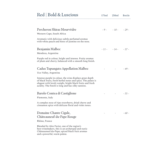| Red   Bold & Luscious                                                                                                                                                                                                                      | 175ml | 250ml               | <b>Bottle</b> |
|--------------------------------------------------------------------------------------------------------------------------------------------------------------------------------------------------------------------------------------------|-------|---------------------|---------------|
|                                                                                                                                                                                                                                            |       |                     |               |
| Percheron Shiraz Mourvèdre                                                                                                                                                                                                                 |       | $-9 - 10 - 29 -$    |               |
| Western Cape, South Africa                                                                                                                                                                                                                 |       |                     |               |
| Aromatic with delicious subtle perfumed aromas<br>with white peach and hints of jasmine on the nose.                                                                                                                                       |       |                     |               |
| Benjamin Malbec                                                                                                                                                                                                                            |       | $-11 - -14 - -37 -$ |               |
| Mendoza, Argentina                                                                                                                                                                                                                         |       |                     |               |
| Purple red in colour, bright and intense. Fruity aromas<br>of plum and cherry, balanced with a smooth long finish.                                                                                                                         |       |                     |               |
| Cadus Tupungato Appellation Malbec                                                                                                                                                                                                         |       |                     | $-49-$        |
| Uco Valley, Argentina                                                                                                                                                                                                                      |       |                     |               |
| Intense purple in colour, the wine displays great depth<br>of black fruits, fresh herbal notes and spice. The palate is<br>elegant with lovely weight, bright black fruits and fresh<br>acidity. The finish is long and has silky tannins. |       |                     |               |
| Barolo Contea di Castiglione                                                                                                                                                                                                               |       |                     | $-55-$        |
| Piemonte, Italy                                                                                                                                                                                                                            |       |                     |               |
| A complex nose of ripe strawberry, dried cherry and<br>cinnamon spice with delicate floral and violet notes.                                                                                                                               |       |                     |               |
| Domaine Chante Cigale,                                                                                                                                                                                                                     |       |                     | $-60-$        |
| Châteauneuf-du-Pape Rouge                                                                                                                                                                                                                  |       |                     |               |
| Rhône, France                                                                                                                                                                                                                              |       |                     |               |
| Blended by Alex Favier, one of the region's<br>best winemakers, this is an archetypal and rustic<br>Châteauneuf-du-Pape; spiced black fruit aromas<br>and a powerful, warm palate.                                                         |       |                     |               |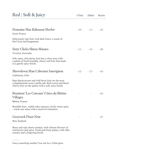| Red   Soft & Juicy                                                                                                                                                   | $175ml - 250ml$     | <b>Bottle</b> |
|----------------------------------------------------------------------------------------------------------------------------------------------------------------------|---------------------|---------------|
|                                                                                                                                                                      |                     |               |
| Domaine Mas Bahourat Merlot<br>Gard, France                                                                                                                          | $-10 - 11 - 32 -$   |               |
| Deliciously ripe fruit with dark fruits, a touch of<br>Earl Grey and bergamont.                                                                                      |                     |               |
| Sixty Clicks Shiraz Mataro<br>Victoria, Australia                                                                                                                    | $-11 - -14 - -40 -$ |               |
| Soft, open, chocolatey fruit has a clove note with<br>a palate of fresh brambly, cherry-red fruit that leads<br>to a gently spicy finish.                            |                     |               |
| Showdown Man Cabernet Sauvignon<br>California, USA                                                                                                                   | $-12 - -15 - -43 -$ |               |
| Ripe blackcurrant and wild berry fruit on the nose<br>complimented sweet vanilla oak. Rich cassis and black<br>cherry fruit on the palate with a soft, juicy finish. |                     |               |
| Boutinot 'Les Coteaux' Côtes du Rhône<br>Villages<br>Rhône, France                                                                                                   |                     | $-43-$        |
| Brambly fruit, subtle oaky nuances, lovely sweet spice<br>- warm star anise with a touch of cinnamon.                                                                |                     |               |
| <b>Greyrock Pinot Noir</b><br>New Zealand                                                                                                                            |                     | $-47-$        |
| Berry and ripe cherry aromas, with vibrant flavours of<br>red berries and spice. Fresh and lively palate, with silky<br>tannins and a lingering finish.              |                     |               |

. . . . . . . . . . . . .

Fancy something smaller? Just ask for a 125ml glass.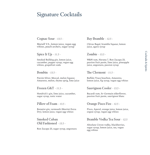## Signature Cocktails

Cognac Sour *- 13.5 -*

Martell V.S., lemon juice, vegan egg whites, peach archers, sugar syrup

Spice It Up *- 11.5 -*

Smoked Bulldog gin, lemon juice, cucumber, pepper syrup, vegan egg whites, grapefruit soda

#### Bombin *- 13.5 -*

Patrón Silver, Mezcal, melon liqueur, Amaretto, melon, thyme sprig, lime juice

#### Frozen G&T *- 11.5 -*

Hendrick's gin, lime juice, cucumber, sugar syrup, tonic water

Pillow of Foam *- 13.5 -*

Botanist gin, vermouth (Martini Extra Dry), lemon juice, vegan egg whites

Smoked Cuban Old Fashioned *- 13.5 -*

Ron Zacapa 23, sugar syrup, angostura

Bay Bramble *- 12.5 -*

Chivas Regal, bramble liqueur, lemon juice, agave syrup

Zombie *- 13.5 -*

W&N rum, Havana 7, Ron Zacapa 23, passion fruit purée, lime juice, pineapple juice, angostura, passion syrup

#### The Clermont *- 11.5 -*

Buffalo Trace bourbon, Amaretto, lemon juice, fig syrup, vegan egg whites

#### Sauvignon Cooler *- 13.5 -*

Bacardi rum, St~Germain elderflower, passion fruit purée, sauvignon blanc

Orange Pisco Fizz *- 12.5 -*

Pisco, Aperol, orange juice, lemon juice, orgeat syrup, vegan egg whites

#### Bramble Vodka Tea Sour *- 12.5*

Absolute Citron vodka, blackberries, sugar syrup, lemon juice, tea, vegan egg whites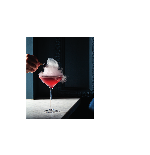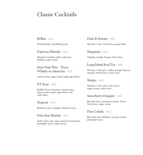## Classic Cocktails

Bellini *- 11.5 -*

Peach purée, sparkling wine

Espresso Martini *- 11.5 -*

Absolute Vanilla vodka, espresso, Kahlúa, sugar syrup

#### Sour Your Way – Pisco, Whisky or Amaretto *- 12.5 -*

Lemon juice, sugar syrup, vegan egg whites

NY Sour *- 12.5 -*

Buffalo Trace bourbon, lemon juice, sugar syrup, vegan egg whites, red wine float

Negroni *- 11.5 -*

Beefeater gin, Campari, Martini rosso

Porn Star Martini *- 13.5 -*

Sailor Jerry rum, apry, passion fruit purée, pineapple juice, sugar syrup

Dark & Stormy *- 12.5 -*

Havana 7 rum, fresh lime, ginger beer

Margarita *- 12.5 -*

Tequila, orange liqueur, lime juice

Long Island Iced Tea *- 13.5 -*

Havana 7 rum, gin, vodka, orange liqueur, tequila, lemon juice, Coca Cola

#### Mojito *- 11.5 -*

Havana 7 rum, mint, lime juice, sugar syrup, soda water

#### Strawberry Daiquiri *- 11.5 -*

Bacardi rum, strawberry purée, fraise, lime juice, sugar syrup

#### Pina Colada *- 11.5 -*

Barcardi rum, Malibu, coconut cream, pineapple juice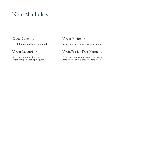# Non-Alcoholics

Citrus Punch *- 9 -*

Fresh lemon and lime, lemonade

#### Virgin Daiquiri *- 9 -*

Strawberry purée, lime juice, sugar syrup, cloudy apple juice

#### Virgin Mojito *- 9 -*

Mint, lime juice, sugar syrup, soda water

#### Virgin Passion Fruit Martini *- 9 -*

Fresh passion fruit, passion fruit syrup, lime juice, vanilla, cloudy apple juice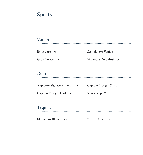# Spirits

## Vodka

Belvedere *- 9.5 -*

Grey Goose *- 10.5 -*

Stolichnaya Vanilla *- 9 -*

Finlandia Grapefruit *- 9 -*

### Rum

| <b>Appleton Signature Blend - 9.5 -</b> | Captain Morgan Spiced - 9 - |
|-----------------------------------------|-----------------------------|
| Captain Morgan Dark - 9 -               | Ron Zacapa 23 - 11 -        |

## Tequila

El Jimador Blanco *- 8.5 -* Patrón Silver *- 11 -*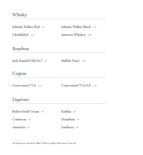#### Whisky

| Johnnie Walker Red - 9 -     | Johnnie Walker Black - 11 -  |
|------------------------------|------------------------------|
| Glenfiddich - 12 -           | Jameson Whiskey - 10 -       |
| Bourbon                      |                              |
| Jack Daniel's Old No.7 - 9 - | Buffalo Trace - 10 -         |
| Cognac                       |                              |
| Courvoisier® V.S. - 11 -     | Courvoisier® V.S.O.P. - 13 - |

### Liqueurs

. . . . . . . . . . . . .

| Baileys Irish Cream - 9 - | Kahlúa - $9-$  |
|---------------------------|----------------|
| Cointreau - 9 -           | Drambuie - 9 - |
| Amaretto - 9 -            | Sambuca - 9 -  |

All spirits are served as 50ml. Prefer a single 25ml serve? Just ask.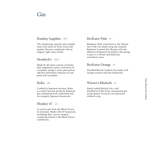## Gin

#### Bombay Sapphire *- 9.5 -*

The tantalising, smooth and complex taste with notes of fresh citrus and juniper flavours combined with an elegant, light spicy finish.

#### Hendrick's *- 10.5 -*

Made by the most curious of minds and imaginative spirit, with hints of coriander, juniper, citrus peel and an odd but marvellous infusion of rose petal and cucumber.

Roku *- 10 -*

Crafted by Japanese artisans, Roku is a multi-layered, perfectly balanced gin combining both traditional and six uniquely Japanese botanicals.

Monkey 47 *- 11 -*

A curious gin from the Black Forest in Germany. Made with 47 botanicals, including their 'secret weapon' commonly found in the Black Forest cranberries.

#### Beefeater Pink *- 9 -*

Beefeater Pink strawberry is the vibrant new Pink Gin made using the original Beefeater London Dry Recipe with the addition of Natural Strawberry flavouring to give it a vibrant and delicious strawberry taste.

#### Beefeater Orange *- 9 -*

Distilled British London Gin made with orange essence and fine botanicals.

#### Warner's Rhubarb *- 9 -*

Hand crafted British Gin, craft distilled on Falls Farm, exceptional gin using Queen Victoria's own personal rhubarb crop.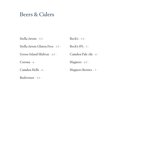# Beers & Ciders

| Stella Artois - 5.5 -             | Beck's $-5.5$ -       |
|-----------------------------------|-----------------------|
| Stella Artois Gluten Free - 5.5 - | Beck's $0\% - 5 -$    |
| Goose Island Midway - 6.5 -       | Camden Pale Ale - 6 - |
| $Corona - 6 -$                    | Magners $-6.5$ -      |
| Camden Hells - 6 -                | Magners Berries - 7 - |
| Budweiser - 5.5 -                 |                       |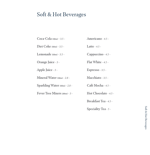# Soft & Hot Beverages

| Coca-Cola 330ml - 3.5 -       | Americano - 4.5 -            |
|-------------------------------|------------------------------|
| Diet Coke 330m1 - 3.5 -       | Latte $-4.5 -$               |
| Lemonade 330ml - 3.5 -        | Cappuccino - 4.5 -           |
| Orange Juice - 3 -            | $Flat White - 4.5 -$         |
| Apple Juice - 3 -             | $Espresso - 3.5 -$           |
| Mineral Water 330m1 - 2.8 -   | Macchiato - 3.5 -            |
| Sparkling Water 330m1 - 2.8 - | Café Mocha - 4.5 -           |
| Fever Tree Mixers 200ml - 3 - | Hot Chocolate - 4.5 -        |
|                               | <b>Breakfast Tea - 4.5 -</b> |
|                               | Speciality Tea - 5 -         |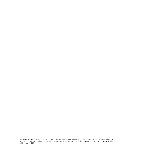All wines are 11-15% and Champagne 12-13% ABV. Beers/Cider 3.8-5.8%. Spirits 37.5-63% ABV. Liqueurs, Aperitifs<br>& Other 15-37% ABV. All prices are inclusive of VAT at the current rate. A discretionary 12.5% service charge w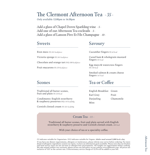# The Clermont Afternoon Tea *- 35 -*

Only available 12:00pm to 16:30pm

Add a glass of Chapel Down Sparkling wine *- 5 -* Add one of our Afternoon Tea cocktails *- 5 -* Add a glass of Lanson Père Et Fils Champagne *- 10 -*

### Sweets

Eton mess (V) *241 kcal/piece*

Victoria sponge (V) *241 kcal/piece*

Chocolate and orange tart (VG) *300 kcal/piece*

Fruit macarons (V) *270 kcal/piece*

### Scones

Traditional all butter scones, fruit and plain (V) *218 kcal*

Condiments: English strawberry & raspberry preserves (VG) *145 kcal/60g*

Cornish clotted cream (V) *321 kcal/60g*

### Savoury

Cucumber fingers (V) *62 kcal*

Cured ham & wholegrain mustard fingers *101 kcal*

Egg mayo & watercress fingers (V) *144 kcal*

Smoked salmon & cream cheese fingers *167 kcal*

### Tea or Coffee

English Breakfast Green Earl Grey Darjeeling Mint Fruit Chamomile

#### Cream Tea *- 11 -*

Traditional all butter scones, fruit and plain served with English strawberry & raspberry preserve and Cornish clotted cream. *684 kcal*

With your choice of tea or a speciality coffee.

(V) indicates suitable for Vegetarians. (VG) indicates suitable for Vegans. Adults need around 2,000 kcal a day. If you have any dietary requirements, allergens or intolerances, please inform your server before ordering. For more detail of allergenic ingredients used in our menu, we have an information pack available. Please note that our kitchen<br>and food service areas are not nut-free or allergen-free environments. All weights are approximate befo inclusive of VAT at the current rate. A discretionary service charge of 12.5% will be added to your bill.